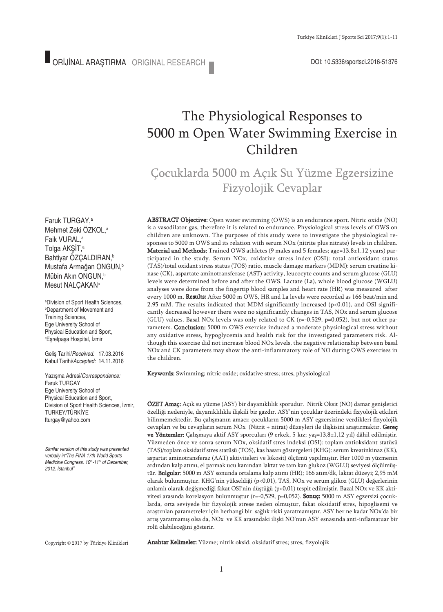# The Physiological Responses to 5000 m Open Water Swimming Exercise in Children

# Çocuklarda 5000 m Açık Su Yüzme Egzersizine Fizyolojik Cevaplar

Faruk TURGAY, a Mehmet Zeki ÖZKOL, a Faik VURAL, a Tolga AKŞIT,ª Bahtiyar ÖZÇALDIRAN, b Mustafa Armağan ONGUN, b Mübin Akın ONGUN, b Mesut NALCAKAN<sup>c</sup>

a Division of Sport Health Sciences, b Department of Movement and Training Sciences, Ege University School of Physical Education and Sport, c Eşrefpaşa Hospital, İzmir

Geliş Tarihi/*Received:* 17.03.2016 Kabul Tarihi/*Accepted:* 14.11.2016

Yazışma Adresi/*Correspondence:* Faruk TURGAY Ege University School of Physical Education and Sport, Division of Sport Health Sciences, İzmir, TURKEY/TÜRKİYE fturgay@yahoo.com

*Similar version of this study was presented verbally in"The FINA 17th World Sports Medicine Congress. 10th -11th of December, 2012. Istanbul"*

Copyright © 2017 by Türkiye Klinikleri

ABSTRACT Objective: Open water swimming (OWS) is an endurance sport. Nitric oxide (NO) is a vasodilator gas, therefore it is related to endurance. Physiological stress levels of OWS on children are unknown. The purposes of this study were to investigate the physiological responses to 5000 m OWS and its relation with serum NOx (nitrite plus nitrate) levels in children. Material and Methods: Trained OWS athletes (9 males and 5 females; age=13.8±1.12 years) participated in the study. Serum NOx, oxidative stress index (OSI): total antioxidant status (TAS)/total oxidant stress status (TOS) ratio, muscle damage markers (MDM): serum creatine kinase (CK), aspartate aminotransferase (AST) activity, leucocyte counts and serum glucose (GLU) levels were determined before and after the OWS. Lactate (La), whole blood glucose (WGLU) analyses were done from the fingertip blood samples and heart rate (HR) was measured after every 1000 m. Results: After 5000 m OWS, HR and La levels were recorded as 166 beat/min and 2.95 mM. The results indicated that MDM significantly increased (p<0.01), and OSI significantly decreased however there were no significantly changes in TAS, NOx and serum glucose (GLU) values. Basal NOx levels was only related to CK (r=-0.529, p=0.052), but not other parameters. Conclusion: 5000 m OWS exercise induced a moderate physiological stress without any oxidative stress, hypoglycemia and health risk for the investigated parameters risk. Although this exercise did not increase blood NOx levels, the negative relationship between basal NOx and CK parameters may show the anti-inflammatory role of NO during OWS exercises in the children.

Keywords: Swimming; nitric oxide; oxidative stress; stres, physiological

ÖZET Amaç: Açık su yüzme (ASY) bir dayanıklılık sporudur. Nitrik Oksit (NO) damar genişletici özelliği nedeniyle, dayanıklılıkla ilişkili bir gazdır. ASY'nin çocuklar üzerindeki fizyolojik etkileri bilinmemektedir. Bu çalışmanın amacı; çocukların 5000 m ASY egzersizine verdikleri fizyolojik cevapları ve bu cevapların serum NOx (Nitrit + nitrat) düzeyleri ile ilişkisini araştırmaktır. Gereç ve Yöntemler: Çalışmaya aktif ASY sporcuları (9 erkek, 5 kız; yaş=13,8±1,12 yıl) dâhil edilmiştir. Yüzmeden önce ve sonra serum NOx, oksidatif stres indeksi (OSI): toplam antioksidant statüsü (TAS)/toplam oksidatif stres statüsü (TOS), kas hasarı göstergeleri (KHG): serum kreatinkinaz (KK), aspartat aminotransferaz (AAT) aktiviteleri ve lökosit) ölçümü yapılmıştır. Her 1000 m yüzmenin ardından kalp atımı, el parmak ucu kanından laktat ve tam kan glukoz (WGLU) seviyesi ölçülmüştür. Bulgular: 5000 m ASY sonunda ortalama kalp atımı (HR); 166 atım/dk, laktat düzeyi; 2,95 mM olarak bulunmuştur. KHG'nin yükseldiği (p<0,01), TAS, NOx ve serum glikoz (GLU) değerlerinin anlamlı olarak değişmediği fakat OSI'nin düştüğü (p<0,01) tespit edilmiştir. Bazal NOx ve KK aktivitesi arasında korelasyon bulunmuştur (r=-0,529, p=0,052). **Sonuç:** 5000 m ASY egzersizi çocuklarda, orta seviyede bir fizyolojik strese neden olmuştur, fakat oksidatif stres, hipoglisemi ve araştırılan parametreler için herhangi bir sağlık riski yaratmamıştır. ASY her ne kadar NOx'da bir artış yaratmamış olsa da, NOx ve KK arasındaki ilişki NO'nun ASY esnasında anti-inflamatuar bir rolü olabileceğini gösterir.

Anahtar Kelimeler: Yüzme; nitrik oksid; oksidatif stres; stres, fizyolojik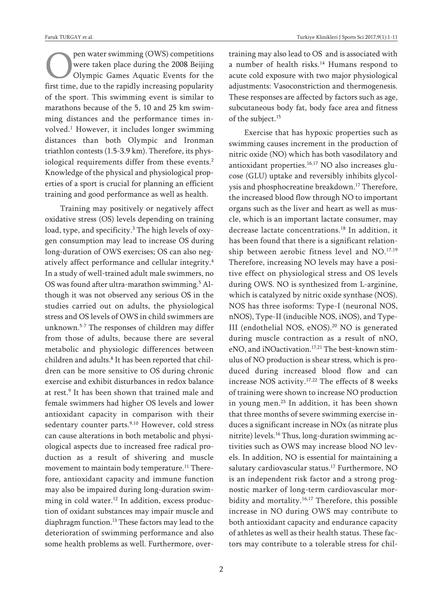pen water swimming (OWS) competitions were taken place during the 2008 Beijing Olympic Games Aquatic Events for the first time, due to the rapidly increasing popularity of the sport. This swimming event is similar to marathons because of the 5, 10 and 25 km swimming distances and the performance times involved. <sup>1</sup> However, it includes longer swimming distances than both Olympic and Ironman triathlon contests (1.5-3.9 km). Therefore, its physiological requirements differ from these events. 2 Knowledge of the physical and physiological properties of a sport is crucial for planning an efficient training and good performance as well as health.

Training may positively or negatively affect oxidative stress (OS) levels depending on training load, type, and specificity. <sup>3</sup> The high levels of oxygen consumption may lead to increase OS during long-duration of OWS exercises; OS can also negatively affect performance and cellular integrity. 4 In a study of well-trained adult male swimmers, no OS was found after ultra-marathon swimming. <sup>5</sup> Although it was not observed any serious OS in the studies carried out on adults, the physiological stress and OS levels of OWS in child swimmers are unknown. 5-7 The responses of children may differ from those of adults, because there are several metabolic and physiologic differences between children and adults. <sup>8</sup> It has been reported that children can be more sensitive to OS during chronic exercise and exhibit disturbances in redox balance at rest. <sup>9</sup> It has been shown that trained male and female swimmers had higher OS levels and lower antioxidant capacity in comparison with their sedentary counter parts.<sup>9,10</sup> However, cold stress can cause alterations in both metabolic and physiological aspects due to increased free radical production as a result of shivering and muscle movement to maintain body temperature. <sup>11</sup> Therefore, antioxidant capacity and immune function may also be impaired during long-duration swimming in cold water. <sup>12</sup> In addition, excess production of oxidant substances may impair muscle and diaphragm function. <sup>13</sup> These factors may lead to the deterioration of swimming performance and also some health problems as well. Furthermore, overtraining may also lead to OS and is associated with a number of health risks. <sup>14</sup> Humans respond to acute cold exposure with two major physiological adjustments: Vasoconstriction and thermogenesis. These responses are affected by factors such as age, subcutaneous body fat, body face area and fitness of the subject. 15

Exercise that has hypoxic properties such as swimming causes increment in the production of nitric oxide (NO) which has both vasodilatory and antioxidant properties. 16,17 NO also increases glucose (GLU) uptake and reversibly inhibits glycolysis and phosphocreatine breakdown. <sup>17</sup> Therefore, the increased blood flow through NO to important organs such as the liver and heart as well as muscle, which is an important lactate consumer, may decrease lactate concentrations. <sup>18</sup> In addition, it has been found that there is a significant relationship between aerobic fitness level and NO. 17,19 Therefore, increasing NO levels may have a positive effect on physiological stress and OS levels during OWS. NO is synthesized from L-arginine, which is catalyzed by nitric oxide synthase (NOS). NOS has three isoforms: Type-I (neuronal NOS, nNOS), Type-II (inducible NOS, iNOS), and Type-III (endothelial NOS, eNOS). <sup>20</sup> NO is generated during muscle contraction as a result of nNO, eNO, and iNOactivation.<sup>17,21</sup> The best-known stimulus of NO production is shear stress, which is produced during increased blood flow and can increase NOS activity.<sup>17,22</sup> The effects of 8 weeks of training were shown to increase NO production in young men. <sup>23</sup> In addition, it has been shown that three months of severe swimming exercise induces a significant increase in NOx (as nitrate plus nitrite) levels. <sup>16</sup> Thus, long-duration swimming activities such as OWS may increase blood NO levels. In addition, NO is essential for maintaining a salutary cardiovascular status. <sup>17</sup> Furthermore, NO is an independent risk factor and a strong prognostic marker of long-term cardiovascular morbidity and mortality. 16,17 Therefore, this possible increase in NO during OWS may contribute to both antioxidant capacity and endurance capacity of athletes as well as their health status. These factors may contribute to a tolerable stress for chil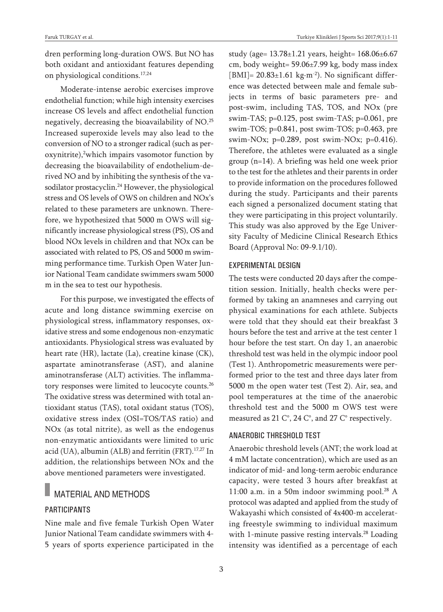dren performing long-duration OWS. But NO has both oxidant and antioxidant features depending on physiological conditions. 17,24

Moderate-intense aerobic exercises improve endothelial function; while high intensity exercises increase OS levels and affect endothelial function negatively, decreasing the bioavailability of NO. 25 Increased superoxide levels may also lead to the conversion of NO to a stronger radical (such as peroxynitrite), 2 which impairs vasomotor function by decreasing the bioavailability of endothelium-derived NO and by inhibiting the synthesis of the vasodilator prostacyclin. <sup>24</sup> However, the physiological stress and OS levels of OWS on children and NOx's related to these parameters are unknown. Therefore, we hypothesized that 5000 m OWS will significantly increase physiological stress (PS), OS and blood NOx levels in children and that NOx can be associated with related to PS, OS and 5000 m swimming performance time. Turkish Open Water Junior National Team candidate swimmers swam 5000 m in the sea to test our hypothesis.

For this purpose, we investigated the effects of acute and long distance swimming exercise on physiological stress, inflammatory responses, oxidative stress and some endogenous non-enzymatic antioxidants. Physiological stress was evaluated by heart rate (HR), lactate (La), creatine kinase (CK), aspartate aminotransferase (AST), and alanine aminotransferase (ALT) activities. The inflammatory responses were limited to leucocyte counts. 26 The oxidative stress was determined with total antioxidant status (TAS), total oxidant status (TOS), oxidative stress index (OSI=TOS/TAS ratio) and NOx (as total nitrite), as well as the endogenus non-enzymatic antioxidants were limited to uric acid (UA), albumin (ALB) and ferritin (FRT). 17,27 In addition, the relationships between NOx and the above mentioned parameters were investigated.

## **MATERIAL AND METHODS**

### PARTICIPANTS

Nine male and five female Turkish Open Water Junior National Team candidate swimmers with 4- 5 years of sports experience participated in the

Faruk TURGAY et al. Turkiye Klinikleri J Sports Sci 2017;9(1):1-11

study (age= 13.78±1.21 years, height= 168.06±6.67 cm, body weight= 59.06±7.99 kg, body mass index [BMI]=  $20.83 \pm 1.61$  kg·m<sup>-2</sup>). No significant difference was detected between male and female subjects in terms of basic parameters pre- and post-swim, including TAS, TOS, and NOx (pre swim-TAS; p=0.125, post swim-TAS; p=0.061, pre swim-TOS; p=0.841, post swim-TOS; p=0.463, pre swim-NOx; p=0.289, post swim-NOx; p=0.416). Therefore, the athletes were evaluated as a single group (n=14). A briefing was held one week prior to the test for the athletes and their parents in order to provide information on the procedures followed during the study. Participants and their parents each signed a personalized document stating that they were participating in this project voluntarily. This study was also approved by the Ege University Faculty of Medicine Clinical Research Ethics Board (Approval No: 09-9.1/10).

### EXPERIMENTAL DESIGN

The tests were conducted 20 days after the competition session. Initially, health checks were performed by taking an anamneses and carrying out physical examinations for each athlete. Subjects were told that they should eat their breakfast 3 hours before the test and arrive at the test center 1 hour before the test start. On day 1, an anaerobic threshold test was held in the olympic indoor pool (Test 1). Anthropometric measurements were performed prior to the test and three days later from 5000 m the open water test (Test 2). Air, sea, and pool temperatures at the time of the anaerobic threshold test and the 5000 m OWS test were measured as 21 C°, 24 C°, and 27 C° respectively.

### ANAEROBIC THRESHOLD TEST

Anaerobic threshold levels (ANT; the work load at 4 mM lactate concentration), which are used as an indicator of mid- and long-term aerobic endurance capacity, were tested 3 hours after breakfast at 11:00 a.m. in a 50m indoor swimming pool. <sup>28</sup> A protocol was adapted and applied from the study of Wakayashi which consisted of 4x400-m accelerating freestyle swimming to individual maximum with 1-minute passive resting intervals. <sup>28</sup> Loading intensity was identified as a percentage of each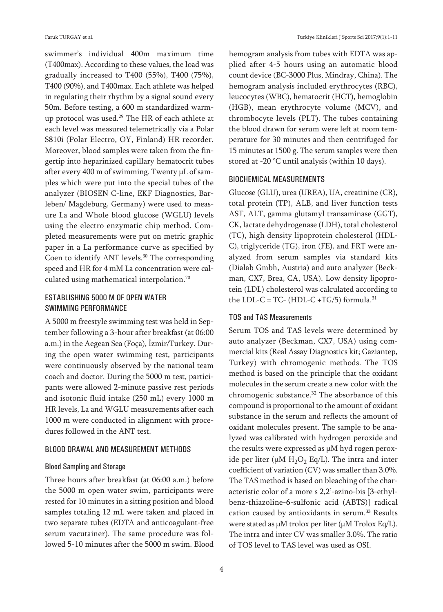swimmer's individual 400m maximum time (T400max). According to these values, the load was gradually increased to T400 (55%), T400 (75%), T400 (90%), and T400max. Each athlete was helped in regulating their rhythm by a signal sound every 50m. Before testing, a 600 m standardized warmup protocol was used. <sup>29</sup> The HR of each athlete at each level was measured telemetrically via a Polar S810i (Polar Electro, OY, Finland) HR recorder. Moreover, blood samples were taken from the fingertip into heparinized capillary hematocrit tubes after every 400 m of swimming. Twenty μL of samples which were put into the special tubes of the analyzer (BIOSEN C-line, EKF Diagnostics, Barleben/ Magdeburg, Germany) were used to measure La and Whole blood glucose (WGLU) levels using the electro enzymatic chip method. Completed measurements were put on metric graphic paper in a La performance curve as specified by Coen to identify ANT levels. <sup>30</sup> The corresponding speed and HR for 4 mM La concentration were calculated using mathematical interpolation. 20

### ESTABLISHING 5000 M OF OPEN WATER SWIMMING PERFORMANCE

A 5000 m freestyle swimming test was held in September following a 3-hour after breakfast (at 06:00 a.m.) in the Aegean Sea (Foça), İzmir/Turkey. During the open water swimming test, participants were continuously observed by the national team coach and doctor. During the 5000 m test, participants were allowed 2-minute passive rest periods and isotonic fluid intake (250 mL) every 1000 m HR levels, La and WGLU measurements after each 1000 m were conducted in alignment with procedures followed in the ANT test.

### BLOOD DRAWAL AND MEASUREMENT METHODS

### Blood Sampling and Storage

Three hours after breakfast (at 06:00 a.m.) before the 5000 m open water swim, participants were rested for 10 minutes in a sitting position and blood samples totaling 12 mL were taken and placed in two separate tubes (EDTA and anticoagulant-free serum vacutainer). The same procedure was followed 5-10 minutes after the 5000 m swim. Blood hemogram analysis from tubes with EDTA was applied after 4-5 hours using an automatic blood count device (BC-3000 Plus, Mindray, China). The hemogram analysis included erythrocytes (RBC), leucocytes (WBC), hematocrit (HCT), hemoglobin (HGB), mean erythrocyte volume (MCV), and thrombocyte levels (PLT). The tubes containing the blood drawn for serum were left at room temperature for 30 minutes and then centrifuged for 15 minutes at 1500 g. The serum samples were then stored at -20 °C until analysis (within 10 days).

### BIOCHEMICAL MEASUREMENTS

Glucose (GLU), urea (UREA), UA, creatinine (CR), total protein (TP), ALB, and liver function tests AST, ALT, gamma glutamyl transaminase (GGT), CK, lactate dehydrogenase (LDH), total cholesterol (TC), high density lipoprotein cholesterol (HDL-C), triglyceride (TG), iron (FE), and FRT were analyzed from serum samples via standard kits (Dialab Gmbh, Austria) and auto analyzer (Beckman, CX7, Brea, CA, USA). Low density lipoprotein (LDL) cholesterol was calculated according to the LDL-C = TC- (HDL-C +TG/5) formula.<sup>31</sup>

### TOS and TAS Measurements

Serum TOS and TAS levels were determined by auto analyzer (Beckman, CX7, USA) using commercial kits (Real Assay Diagnostics kit; Gaziantep, Turkey) with chromogenic methods. The TOS method is based on the principle that the oxidant molecules in the serum create a new color with the chromogenic substance. <sup>32</sup> The absorbance of this compound is proportional to the amount of oxidant substance in the serum and reflects the amount of oxidant molecules present. The sample to be analyzed was calibrated with hydrogen peroxide and the results were expressed as μM hyd rogen peroxide per liter ( $\mu$ M H<sub>2</sub>O<sub>2</sub> Eq/L). The intra and inter coefficient of variation (CV) was smaller than 3.0%. The TAS method is based on bleaching of the characteristic color of a more s 2,2'-azino-bis [3-ethylbenz-thiazoline-6-sulfonic acid (ABTS)] radical cation caused by antioxidants in serum. <sup>33</sup> Results were stated as μM trolox per liter (µM Trolox Eq/L). The intra and inter CV was smaller 3.0%. The ratio of TOS level to TAS level was used as OSI.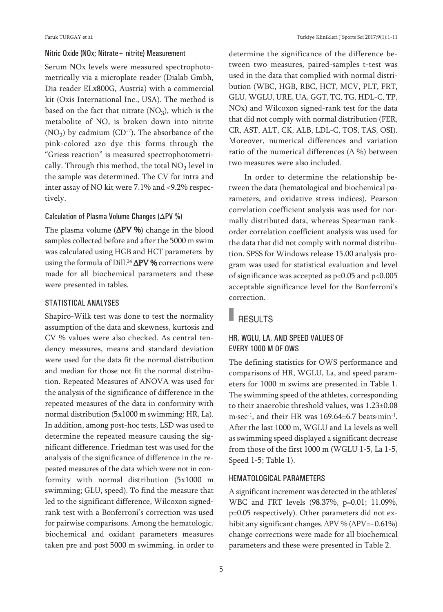### Nitric Oxide (NOx; Nitrate+ nitrite) Measurement

Serum NOx levels were measured spectrophotometrically via a microplate reader (Dialab Gmbh, Dia reader ELx800G, Austria) with a commercial kit (Oxis International Inc., USA). The method is based on the fact that nitrate  $(NO<sub>3</sub>)$ , which is the metabolite of NO, is broken down into nitrite  $(NO<sub>2</sub>)$  by cadmium  $(CD<sup>+2</sup>)$ . The absorbance of the pink-colored azo dye this forms through the "Griess reaction" is measured spectrophotometrically. Through this method, the total  $NO<sub>2</sub>$  level in the sample was determined. The CV for intra and inter assay of NO kit were 7.1% and <9.2% respectively.

### Calculation of Plasma Volume Changes (∆PV %)

The plasma volume (∆PV %) change in the blood samples collected before and after the 5000 m swim was calculated using HGB and HCT parameters by using the formula of Dill. $^{34}$   $\Delta \text{PV}$  % corrections were made for all biochemical parameters and these were presented in tables.

### STATISTICAL ANALYSES

Shapiro-Wilk test was done to test the normality assumption of the data and skewness, kurtosis and CV % values were also checked. As central tendency measures, means and standard deviation were used for the data fit the normal distribution and median for those not fit the normal distribution. Repeated Measures of ANOVA was used for the analysis of the significance of difference in the repeated measures of the data in conformity with normal distribution (5x1000 m swimming; HR, La). In addition, among post-hoc tests, LSD was used to determine the repeated measure causing the significant difference. Friedman test was used for the analysis of the significance of difference in the repeated measures of the data which were not in conformity with normal distribution (5x1000 m swimming; GLU, speed). To find the measure that led to the significant difference, Wilcoxon signedrank test with a Bonferroni's correction was used for pairwise comparisons. Among the hematologic, biochemical and oxidant parameters measures taken pre and post 5000 m swimming, in order to

determine the significance of the difference between two measures, paired-samples t-test was used in the data that complied with normal distribution (WBC, HGB, RBC, HCT, MCV, PLT, FRT, GLU, WGLU, URE, UA, GGT, TC, TG, HDL-C, TP, NOx) and Wilcoxon signed-rank test for the data that did not comply with normal distribution (FER, CR, AST, ALT, CK, ALB, LDL-C, TOS, TAS, OSI). Moreover, numerical differences and variation ratio of the numerical differences ( $\Delta \%$ ) between two measures were also included.

In order to determine the relationship between the data (hematological and biochemical parameters, and oxidative stress indices), Pearson correlation coefficient analysis was used for normally distributed data, whereas Spearman rankorder correlation coefficient analysis was used for the data that did not comply with normal distribution. SPSS for Windows release 15.00 analysis program was used for statistical evaluation and level of significance was accepted as  $p<0.05$  and  $p<0.005$ acceptable significance level for the Bonferroni's correction.

### **RESULTS**

### HR, WGLU, LA, AND SPEED VALUES OF EVERY 1000 M OF OWS

The defining statistics for OWS performance and comparisons of HR, WGLU, La, and speed parameters for 1000 m swims are presented in Table 1. The swimming speed of the athletes, corresponding to their anaerobic threshold values, was 1.23±0.08 m·sec<sup>-1</sup>, and their HR was 169.64±6.7 beats·min<sup>-1</sup>. After the last 1000 m, WGLU and La levels as well as swimming speed displayed a significant decrease from those of the first 1000 m (WGLU 1-5, La 1-5, Speed 1-5; Table 1).

### HEMATOLOGICAL PARAMETERS

A significant increment was detected in the athletes' WBC and FRT levels (98.37%, p=0.01; 11.09%, p=0.05 respectively). Other parameters did not exhibit any significant changes. ∆PV % (∆PV=- 0.61%) change corrections were made for all biochemical parameters and these were presented in Table 2.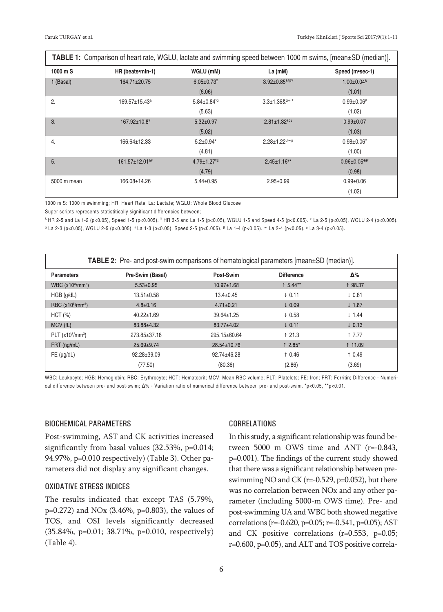| TABLE 1: Comparison of heart rate, WGLU, lactate and swimming speed between 1000 m swims, [mean±SD (median)]. |                                |                               |                                  |                                                                                                                                                                                                                                                                                                                                        |
|---------------------------------------------------------------------------------------------------------------|--------------------------------|-------------------------------|----------------------------------|----------------------------------------------------------------------------------------------------------------------------------------------------------------------------------------------------------------------------------------------------------------------------------------------------------------------------------------|
| 1000 m S                                                                                                      | HR (beats•min-1)               | WGLU (mM)                     | La $(mM)$                        | Speed (m•sec-1)                                                                                                                                                                                                                                                                                                                        |
| 1 (Basal)                                                                                                     | 164.71±20.75                   | $6.05 \pm 0.73$ <sup>¥</sup>  | $3.92 \pm 0.85$ $*$ <sup>6</sup> | $1.00 \pm 0.04$ <sup>&amp;</sup>                                                                                                                                                                                                                                                                                                       |
|                                                                                                               |                                | (6.06)                        |                                  | (1.01)                                                                                                                                                                                                                                                                                                                                 |
| 2.                                                                                                            | 169.57±15.43 <sup>&amp;</sup>  | $5.84 \pm 0.84^{\text{°o}}$   | $3.3 \pm 1.368$ <sup>a**</sup>   | $0.99 \pm 0.06$ #                                                                                                                                                                                                                                                                                                                      |
|                                                                                                               |                                | (5.63)                        |                                  | (1.02)                                                                                                                                                                                                                                                                                                                                 |
| 3.                                                                                                            | $167.92 \pm 10.8^*$            | $5.32 \pm 0.97$               | $2.81 \pm 1.32^{*q}$             | $0.99 + 0.07$                                                                                                                                                                                                                                                                                                                          |
|                                                                                                               |                                | (5.02)                        |                                  | (1.03)                                                                                                                                                                                                                                                                                                                                 |
| 4.                                                                                                            | 166.64±12.33                   | $5.2 \pm 0.94*$               | $2.28 \pm 1.22^{\beta \infty}$   | $0.98 \pm 0.06^*$                                                                                                                                                                                                                                                                                                                      |
|                                                                                                               |                                | (4.81)                        |                                  | (1.00)                                                                                                                                                                                                                                                                                                                                 |
| 5.                                                                                                            | 161.57±12.01 <sup>&amp;¥</sup> | $4.79 \pm 1.27$ <sup>¥a</sup> | $2.45 \pm 1.16$ **               | $0.96 \pm 0.05$ &#¥</td></tr><tr><td></td><td></td><td>(4.79)</td><td></td><td>(0.98)</td></tr><tr><td>5000 m mean</td><td>166.08±14.26</td><td><math>5.44 \pm 0.95</math></td><td><math>2.95 \pm 0.99</math></td><td><math>0.99 \pm 0.06</math></td></tr><tr><td></td><td></td><td></td><td></td><td>(1.02)</td></tr></tbody></table> |

1000 m S: 1000 m swimming; HR: Heart Rate; La: Lactate; WGLU: Whole Blood Glucose

Super scripts represents statistitically significant differencies between;

& HR 2-5 and La 1-2 (p<0.05), Speed 1-5 (p<0.005). ¥ HR 3-5 and La 1-5 (p<0.05), WGLU 1-5 and Speed 4-5 (p<0.005). \* La 2-5 (p<0.05), WGLU 2-4 (p<0.005). <sup>α</sup> La 2-3 (p<0.05), WGLU 2-5 (p<0.005). # La 1-3 (p<0.05), Speed 2-5 (p<0.005). <sup>β</sup> La 1-4 (p<0.05). <sup>∞</sup> La 2-4 (p<0.05). <sup>µ</sup> La 3-4 (p<0.05).

| TABLE 2: Pre- and post-swim comparisons of hematological parameters [mean±SD (median)]. |                  |                  |                   |                   |  |
|-----------------------------------------------------------------------------------------|------------------|------------------|-------------------|-------------------|--|
| <b>Parameters</b>                                                                       | Pre-Swim (Basal) | Post-Swim        | <b>Difference</b> | Δ%                |  |
| WBC (x10 <sup>3</sup> /mm <sup>3</sup> )                                                | $5.53 \pm 0.95$  | $10.97 \pm 1.68$ | ↑ 5.44**          | ↑ 98.37           |  |
| $HGB$ ( $g/dL$ )                                                                        | $13.51 \pm 0.58$ | $13.4 \pm 0.45$  | $\downarrow$ 0.11 | $\downarrow$ 0.81 |  |
| RBC $(x10^6/\text{mm}^3)$                                                               | $4.8 \pm 0.16$   | $4.71 \pm 0.21$  | ~ 0.09            | $\downarrow$ 1.87 |  |
| HCT (%)                                                                                 | $40.22 \pm 1.69$ | $39.64 \pm 1.25$ | $\downarrow$ 0.58 | $\downarrow$ 1.44 |  |
| MCV (fL)                                                                                | 83.88±4.32       | 83.77±4.02       | 10.11             | $\downarrow$ 0.13 |  |
| PLT $(x103/mm3)$                                                                        | 273.85±37.18     | 295.15±60.64     | $\uparrow$ 21.3   | ↑ 7.77            |  |
| $FRT$ (ng/mL)                                                                           | $25.69 + 9.74$   | 28.54±10.76      | $12.85*$          | ↑ 11.09           |  |
| $FE$ (µg/dL)                                                                            | 92.28±39.09      | 92.74±46.28      | 10.46             | 10.49             |  |
|                                                                                         | (77.50)          | (80.36)          | (2.86)            | (3.69)            |  |

WBC: Leukocyte; HGB: Hemoglobin; RBC: Erythrocyte; HCT: Hematocrit; MCV: Mean RBC volume; PLT: Platelets; FE: Iron; FRT: Ferritin; Difference - Numerical difference between pre- and post-swim; ∆% - Variation ratio of numerical difference between pre- and post-swim. \*p<0.05, \*\*p<0.01.

### BIOCHEMICAL PARAMETERS

Post-swimming, AST and CK activities increased significantly from basal values (32.53%, p=0.014; 94.97%, p=0.010 respectively) (Table 3). Other parameters did not display any significant changes.

### OXIDATIVE STRESS INDICES

The results indicated that except TAS (5.79%, p=0.272) and NOx (3.46%, p=0.803), the values of TOS, and OSI levels significantly decreased (35.84%, p=0.01; 38.71%, p=0.010, respectively) (Table 4).

### CORRELATIONS

In this study, a significant relationship was found between 5000 m OWS time and ANT (r=-0.843, p=0.001). The findings of the current study showed that there was a significant relationship between preswimming NO and CK (r=-0.529, p=0.052), but there was no correlation between NOx and any other parameter (including 5000-m OWS time). Pre- and post-swimming UA and WBC both showed negative correlations (r=-0.620, p=0.05; r=-0.541, p=0.05); AST and CK positive correlations (r=0.553, p=0.05; r=0.600, p=0.05), and ALT and TOS positive correla-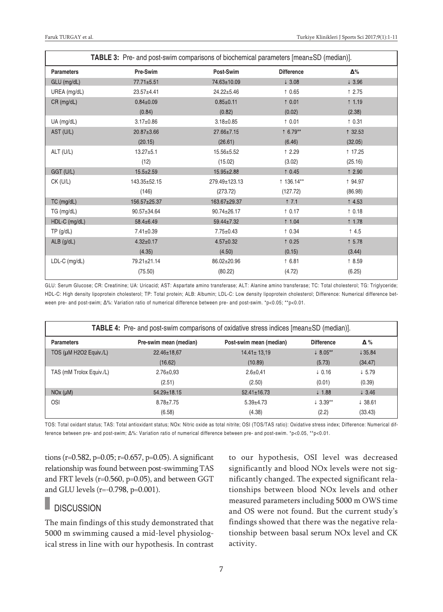| <b>TABLE 3:</b> Pre- and post-swim comparisons of biochemical parameters [mean±SD (median)]. |                 |                 |                   |                 |
|----------------------------------------------------------------------------------------------|-----------------|-----------------|-------------------|-----------------|
| <b>Parameters</b>                                                                            | Pre-Swim        | Post-Swim       | <b>Difference</b> | Δ%              |
| GLU (mg/dL)                                                                                  | 77.71±5.51      | 74.63±10.09     | 43.08             | 43.96           |
| UREA (mg/dL)                                                                                 | 23.57±4.41      | 24.22±5.46      | ↑ 0.65            | ↑ 2.75          |
| CR (mg/dL)                                                                                   | $0.84 \pm 0.09$ | $0.85 \pm 0.11$ | 10.01             | 1.19            |
|                                                                                              | (0.84)          | (0.82)          | (0.02)            | (2.38)          |
| UA (mg/dL)                                                                                   | $3.17 \pm 0.86$ | $3.18 \pm 0.85$ | 10.01             | $\uparrow$ 0.31 |
| AST (U/L)                                                                                    | 20.87±3.66      | 27.66±7.15      | $16.79**$         | ↑ 32.53         |
|                                                                                              | (20.15)         | (26.61)         | (6.46)            | (32.05)         |
| ALT (U/L)                                                                                    | $13.27 + 5.1$   | 15.56±5.52      | ↑ 2.29            | ↑ 17.25         |
|                                                                                              | (12)            | (15.02)         | (3.02)            | (25.16)         |
| GGT (U/L)                                                                                    | $15.5 \pm 2.59$ | 15.95±2.88      | 10.45             | ↑ 2.90          |
| $CK$ (U/L)                                                                                   | 143.35±52.15    | 279.49±123.13   | ↑ 136.14**        | ↑ 94.97         |
|                                                                                              | (146)           | (273.72)        | (127.72)          | (86.98)         |
| TC (mg/dL)                                                                                   | 156.57±25.37    | 163.67±29.37    | 17.1              | ↑ 4.53          |
| TG (mg/dL)                                                                                   | 90.57±34.64     | 90.74±26.17     | $\uparrow$ 0.17   | 10.18           |
| HDL-C (mg/dL)                                                                                | $58.4 \pm 6.49$ | 59.44±7.32      | 1.04              | ↑ 1.78          |
| TP(g/dL)                                                                                     | $7.41 \pm 0.39$ | $7.75 \pm 0.43$ | 10.34             | $\uparrow$ 4.5  |
| ALB (g/dL)                                                                                   | $4.32 \pm 0.17$ | $4.57 \pm 0.32$ | 10.25             | ↑ 5.78          |
|                                                                                              | (4.35)          | (4.50)          | (0.15)            | (3.44)          |
| LDL-C (mg/dL)                                                                                | 79.21±21.14     | 86.02±20.96     | ↑ 6.81            | ↑ 8.59          |
|                                                                                              | (75.50)         | (80.22)         | (4.72)            | (6.25)          |

GLU: Serum Glucose; CR: Creatinine; UA: Uricacid; AST: Aspartate amino transferase; ALT: Alanine amino transferase; TC: Total cholesterol; TG: Triglyceride; HDL-C: High density lipoprotein cholesterol; TP: Total protein; ALB: Albumin; LDL-C: Low density lipoprotein cholesterol; Difference: Numerical difference between pre- and post-swim; Δ%: Variation ratio of numerical difference between pre- and post-swim. \*p<0.05; \*\*p<0.01.

| <b>TABLE 4:</b> Pre- and post-swim comparisons of oxidative stress indices [mean±SD (median)]. |                        |                         |                     |                   |  |
|------------------------------------------------------------------------------------------------|------------------------|-------------------------|---------------------|-------------------|--|
| <b>Parameters</b>                                                                              | Pre-swim mean (median) | Post-swim mean (median) | <b>Difference</b>   | $\Delta\%$        |  |
| TOS (µM H2O2 Equiv./L)                                                                         | 22.46±18.67            | $14.41 \pm 13.19$       | $\downarrow$ 8.05** | 135.84            |  |
|                                                                                                | (16.62)                | (10.89)                 | (5.73)              | (34.47)           |  |
| TAS (mM Trolox Equiv./L)                                                                       | $2.76 \pm 0.93$        | $2.6 \pm 0.41$          | $\downarrow$ 0.16   | $\downarrow 5.79$ |  |
|                                                                                                | (2.51)                 | (2.50)                  | (0.01)              | (0.39)            |  |
| NOx (µM)                                                                                       | $54.29 \pm 18.15$      | $52.41 \pm 16.73$       | $\downarrow$ 1.88   | 43.46             |  |
| <b>OSI</b>                                                                                     | $8.78 \pm 7.75$        | $5.39 + 4.73$           | $\downarrow$ 3.39** | 438.61            |  |
|                                                                                                | (6.58)                 | (4.38)                  | (2.2)               | (33.43)           |  |

TOS: Total oxidant status; TAS: Total antioxidant status; NOx: Nitric oxide as total nitrite; OSI (TOS/TAS ratio): Oxidative stress index; Difference: Numerical difference between pre- and post-swim; ∆%: Variation ratio of numerical difference between pre- and post-swim. \*p<0.05, \*\*p<0.01.

tions (r=0.582, p=0.05; r=0.657, p=0.05). A significant relationship was found between post-swimming TAS and FRT levels (r=0.560, p=0.05), and between GGT and GLU levels (r=-0.798, p=0.001).

### **DISCUSSION**

The main findings of this study demonstrated that 5000 m swimming caused a mid-level physiological stress in line with our hypothesis. In contrast to our hypothesis, OSI level was decreased significantly and blood NOx levels were not significantly changed. The expected significant relationships between blood NOx levels and other measured parameters including 5000 m OWS time and OS were not found. But the current study's findings showed that there was the negative relationship between basal serum NOx level and CK activity.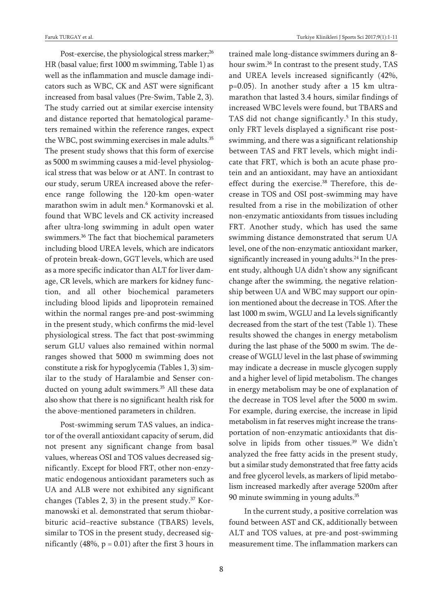Post-exercise, the physiological stress marker; 26 HR (basal value; first 1000 m swimming, Table 1) as well as the inflammation and muscle damage indicators such as WBC, CK and AST were significant increased from basal values (Pre-Swim, Table 2, 3). The study carried out at similar exercise intensity and distance reported that hematological parameters remained within the reference ranges, expect the WBC, post swimming exercises in male adults. 35 The present study shows that this form of exercise as 5000 m swimming causes a mid-level physiological stress that was below or at ANT. In contrast to our study, serum UREA increased above the reference range following the 120-km open-water marathon swim in adult men. <sup>6</sup> Kormanovski et al. found that WBC levels and CK activity increased after ultra-long swimming in adult open water swimmers. <sup>36</sup> The fact that biochemical parameters including blood UREA levels, which are indicators of protein break-down, GGT levels, which are used as a more specific indicator than ALT for liver damage, CR levels, which are markers for kidney function, and all other biochemical parameters including blood lipids and lipoprotein remained within the normal ranges pre-and post-swimming in the present study, which confirms the mid-level physiological stress. The fact that post-swimming serum GLU values also remained within normal ranges showed that 5000 m swimming does not constitute a risk for hypoglycemia (Tables 1, 3) similar to the study of Haralambie and Senser conducted on young adult swimmers. <sup>35</sup> All these data also show that there is no significant health risk for the above-mentioned parameters in children.

Post-swimming serum TAS values, an indicator of the overall antioxidant capacity of serum, did not present any significant change from basal values, whereas OSI and TOS values decreased significantly. Except for blood FRT, other non-enzymatic endogenous antioxidant parameters such as UA and ALB were not exhibited any significant changes (Tables 2, 3) in the present study. <sup>37</sup> Kormanowski et al. demonstrated that serum thiobarbituric acid–reactive substance (TBARS) levels, similar to TOS in the present study, decreased significantly (48%,  $p = 0.01$ ) after the first 3 hours in trained male long-distance swimmers during an 8 hour swim. <sup>36</sup> In contrast to the present study, TAS and UREA levels increased significantly (42%, p=0.05). In another study after a 15 km ultramarathon that lasted 3.4 hours, similar findings of increased WBC levels were found, but TBARS and TAS did not change significantly. <sup>5</sup> In this study, only FRT levels displayed a significant rise postswimming, and there was a significant relationship between TAS and FRT levels, which might indicate that FRT, which is both an acute phase protein and an antioxidant, may have an antioxidant effect during the exercise. <sup>38</sup> Therefore, this decrease in TOS and OSI post-swimming may have resulted from a rise in the mobilization of other non-enzymatic antioxidants from tissues including FRT. Another study, which has used the same swimming distance demonstrated that serum UA level, one of the non-enzymatic antioxidant marker, significantly increased in young adults. <sup>24</sup> In the present study, although UA didn't show any significant change after the swimming, the negative relationship between UA and WBC may support our opinion mentioned about the decrease in TOS. After the last 1000 m swim, WGLU and La levels significantly decreased from the start of the test (Table 1). These results showed the changes in energy metabolism during the last phase of the 5000 m swim. The decrease of WGLU level in the last phase of swimming may indicate a decrease in muscle glycogen supply and a higher level of lipid metabolism. The changes in energy metabolism may be one of explanation of the decrease in TOS level after the 5000 m swim. For example, during exercise, the increase in lipid metabolism in fat reserves might increase the transportation of non-enzymatic antioxidants that dissolve in lipids from other tissues. <sup>39</sup> We didn't analyzed the free fatty acids in the present study, but a similar study demonstrated that free fatty acids and free glycerol levels, as markers of lipid metabolism increased markedly after average 5200m after 90 minute swimming in young adults. 35

In the current study, a positive correlation was found between AST and CK, additionally between ALT and TOS values, at pre-and post-swimming measurement time. The inflammation markers can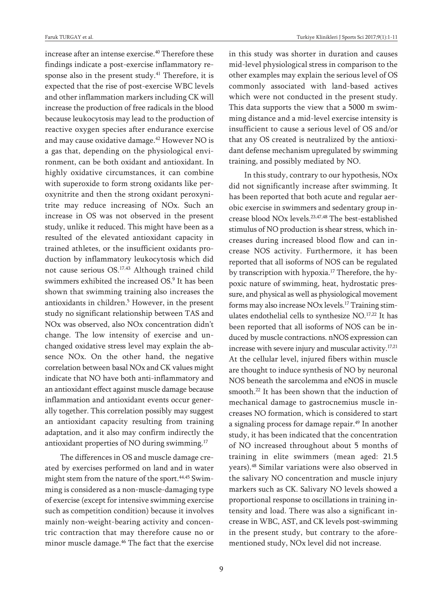increase after an intense exercise. <sup>40</sup> Therefore these findings indicate a post-exercise inflammatory response also in the present study. <sup>41</sup> Therefore, it is expected that the rise of post-exercise WBC levels and other inflammation markers including CK will increase the production of free radicals in the blood because leukocytosis may lead to the production of reactive oxygen species after endurance exercise and may cause oxidative damage. <sup>42</sup> However NO is a gas that, depending on the physiological environment, can be both oxidant and antioxidant. In highly oxidative circumstances, it can combine with superoxide to form strong oxidants like peroxynitrite and then the strong oxidant peroxynitrite may reduce increasing of NOx. Such an increase in OS was not observed in the present study, unlike it reduced. This might have been as a resulted of the elevated antioxidant capacity in trained athletes, or the insufficient oxidants production by inflammatory leukocytosis which did not cause serious OS. 17,43 Although trained child swimmers exhibited the increased OS. <sup>9</sup> It has been shown that swimming training also increases the antioxidants in children. <sup>5</sup> However, in the present study no significant relationship between TAS and NOx was observed, also NOx concentration didn't change. The low intensity of exercise and unchanged oxidative stress level may explain the absence NOx. On the other hand, the negative correlation between basal NOx and CK values might indicate that NO have both anti-inflammatory and an antioxidant effect against muscle damage because inflammation and antioxidant events occur generally together. This correlation possibly may suggest an antioxidant capacity resulting from training adaptation, and it also may confirm indirectly the antioxidant properties of NO during swimming.<sup>17</sup>

The differences in OS and muscle damage created by exercises performed on land and in water might stem from the nature of the sport. 44,45 Swimming is considered as a non-muscle-damaging type of exercise (except for intensive swimming exercise such as competition condition) because it involves mainly non-weight-bearing activity and concentric contraction that may therefore cause no or minor muscle damage. <sup>46</sup> The fact that the exercise

in this study was shorter in duration and causes mid-level physiological stress in comparison to the other examples may explain the serious level of OS commonly associated with land-based actives which were not conducted in the present study. This data supports the view that a 5000 m swimming distance and a mid-level exercise intensity is insufficient to cause a serious level of OS and/or that any OS created is neutralized by the antioxidant defense mechanism upregulated by swimming training, and possibly mediated by NO.

In this study, contrary to our hypothesis, NOx did not significantly increase after swimming. It has been reported that both acute and regular aerobic exercise in swimmers and sedentary group increase blood NOx levels. 23,47,48 The best-established stimulus of NO production is shear stress, which increases during increased blood flow and can increase NOS activity. Furthermore, it has been reported that all isoforms of NOS can be regulated by transcription with hypoxia. <sup>17</sup> Therefore, the hypoxic nature of swimming, heat, hydrostatic pressure, and physical as well as physiological movement forms may also increase NOx levels. <sup>17</sup> Training stimulates endothelial cells to synthesize NO. 17,22 It has been reported that all isoforms of NOS can be induced by muscle contractions. nNOS expression can increase with severe injury and muscular activity. 17,21 At the cellular level, injured fibers within muscle are thought to induce synthesis of NO by neuronal NOS beneath the sarcolemma and eNOS in muscle smooth. <sup>22</sup> It has been shown that the induction of mechanical damage to gastrocnemius muscle increases NO formation, which is considered to start a signaling process for damage repair. <sup>49</sup> In another study, it has been indicated that the concentration of NO increased throughout about 5 months of training in elite swimmers (mean aged: 21.5 years). <sup>48</sup> Similar variations were also observed in the salivary NO concentration and muscle injury markers such as CK. Salivary NO levels showed a proportional response to oscillations in training intensity and load. There was also a significant increase in WBC, AST, and CK levels post-swimming in the present study, but contrary to the aforementioned study, NOx level did not increase.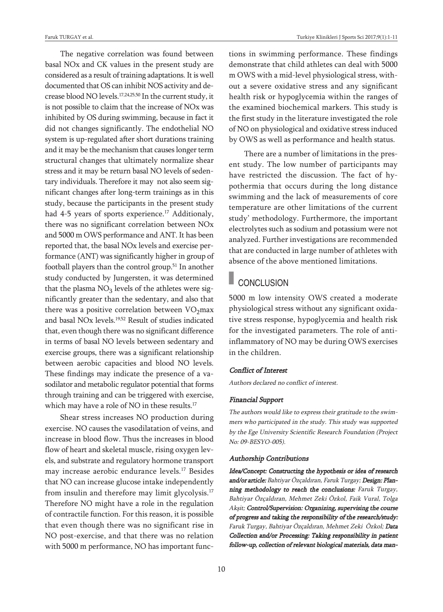The negative correlation was found between basal NOx and CK values in the present study are considered as a result of training adaptations. It is well documented that OS can inhibit NOS activity and decrease blood NO levels.<sup>17,24,25,50</sup> In the current study, it is not possible to claim that the increase of NOx was inhibited by OS during swimming, because in fact it did not changes significantly. The endothelial NO system is up-regulated after short durations training and it may be the mechanism that causes longer term structural changes that ultimately normalize shear stress and it may be return basal NO levels of sedentary individuals. Therefore it may not also seem significant changes after long-term trainings as in this study, because the participants in the present study had 4-5 years of sports experience. <sup>17</sup> Additionaly, there was no significant correlation between NOx and 5000 m OWS performance and ANT. It has been reported that, the basal NOx levels and exercise performance (ANT) was significantly higher in group of football players than the control group. <sup>51</sup> In another study conducted by Jungersten, it was determined that the plasma  $NO<sub>3</sub>$  levels of the athletes were significantly greater than the sedentary, and also that there was a positive correlation between  $VO<sub>2</sub>max$ and basal NOx levels. 19,52 Result of studies indicated that, even though there was no significant difference in terms of basal NO levels between sedentary and exercise groups, there was a significant relationship between aerobic capacities and blood NO levels. These findings may indicate the presence of a vasodilator and metabolic regulator potential that forms through training and can be triggered with exercise, which may have a role of NO in these results.<sup>17</sup>

Shear stress increases NO production during exercise. NO causes the vasodilatation of veins, and increase in blood flow. Thus the increases in blood flow of heart and skeletal muscle, rising oxygen levels, and substrate and regulatory hormone transport may increase aerobic endurance levels. <sup>17</sup> Besides that NO can increase glucose intake independently from insulin and therefore may limit glycolysis.<sup>17</sup> Therefore NO might have a role in the regulation of contractile function. For this reason, it is possible that even though there was no significant rise in NO post-exercise, and that there was no relation with 5000 m performance, NO has important func-

Faruk TURGAY et al. Turkiye Klinikleri J Sports Sci 2017;9(1):1-11

tions in swimming performance. These findings demonstrate that child athletes can deal with 5000 m OWS with a mid-level physiological stress, without a severe oxidative stress and any significant health risk or hypoglycemia within the ranges of the examined biochemical markers. This study is the first study in the literature investigated the role of NO on physiological and oxidative stress induced by OWS as well as performance and health status.

There are a number of limitations in the present study. The low number of participants may have restricted the discussion. The fact of hypothermia that occurs during the long distance swimming and the lack of measurements of core temperature are other limitations of the current study' methodology. Furthermore, the important electrolytes such as sodium and potassium were not analyzed. Further investigations are recommended that are conducted in large number of athletes with absence of the above mentioned limitations.

#### П **CONCLUSION**

5000 m low intensity OWS created a moderate physiological stress without any significant oxidative stress response, hypoglycemia and health risk for the investigated parameters. The role of antiinflammatory of NO may be during OWS exercises in the children.

#### Conflict of Interest

Authors declared no conflict of interest.

### Financial Support

The authors would like to express their gratitude to the swimmers who participated in the study. This study was supported by the Ege University Scientific Research Foundation (Project No: 09-BESYO-005).

#### Authorship Contributions

Idea/Concept: Constructing the hypothesis or idea of research and/or article: Bahtiyar Özçaldıran, Faruk Turgay; Design: Planning methodology to reach the conclusions: Faruk Turgay, Bahtiyar Özçaldıran, Mehmet Zeki Özkol, Faik Vural, Tolga Akşit; Control/Supervision: Organizing, supervising the course of progress and taking the responsibility of the research/study: Faruk Turgay, Bahtiyar Özçaldıran, Mehmet Zeki Özkol; Data Collection and/or Processing: Taking responsibility in patient follow-up, collection of relevant biological materials, data man